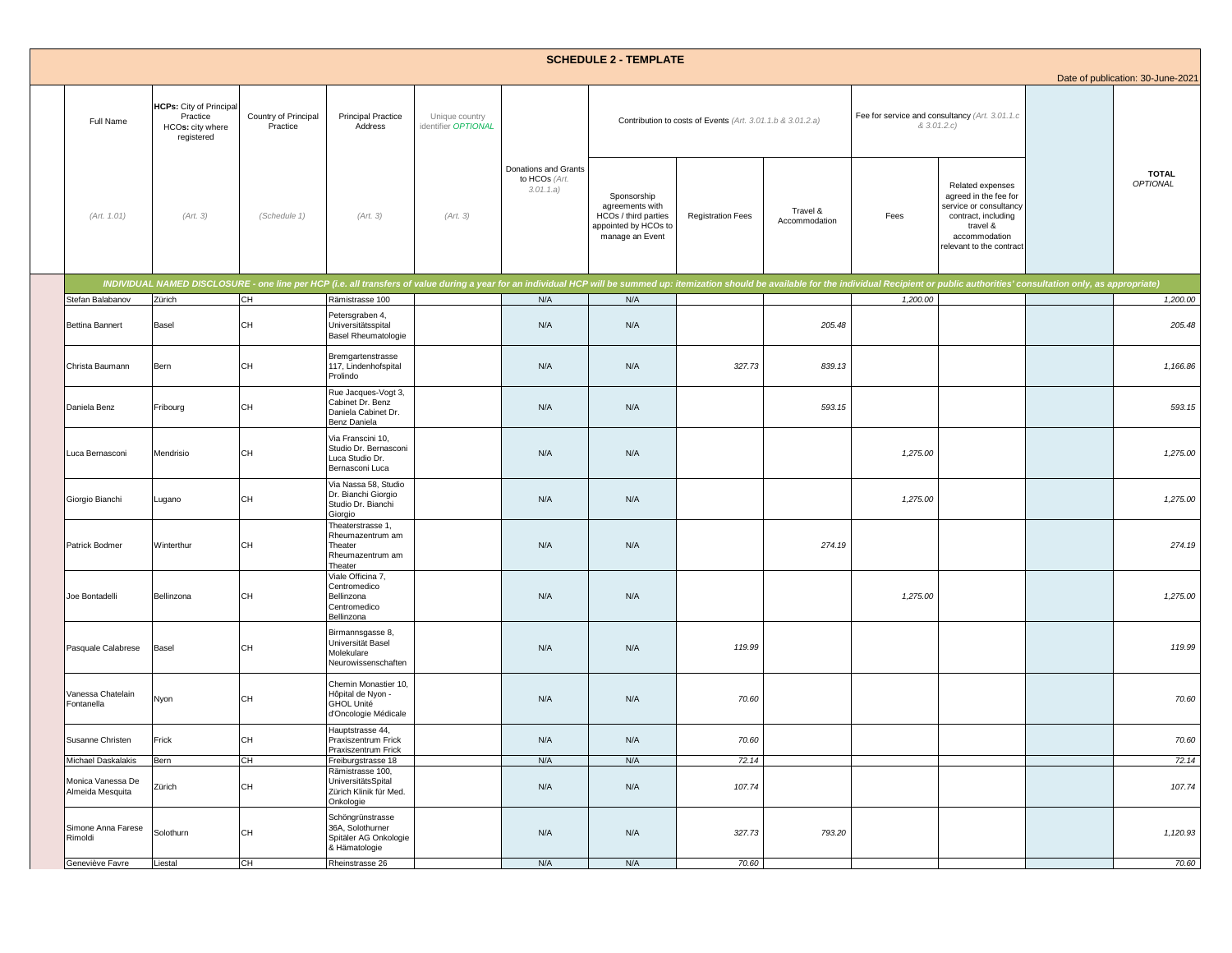|                                       |                                                                       |                                  |                                                                                        |                                       |                                                   | <b>SCHEDULE 2 - TEMPLATE</b>                                                                      |                                                            |                           |          |                                                                                                                                                     |                                                                                                                                                                                                                                | Date of publication: 30-June-2021 |
|---------------------------------------|-----------------------------------------------------------------------|----------------------------------|----------------------------------------------------------------------------------------|---------------------------------------|---------------------------------------------------|---------------------------------------------------------------------------------------------------|------------------------------------------------------------|---------------------------|----------|-----------------------------------------------------------------------------------------------------------------------------------------------------|--------------------------------------------------------------------------------------------------------------------------------------------------------------------------------------------------------------------------------|-----------------------------------|
| Full Name                             | HCPs: City of Principal<br>Practice<br>HCOs: city where<br>registered | Country of Principal<br>Practice | <b>Principal Practice</b><br>Address                                                   | Unique country<br>identifier OPTIONAL |                                                   |                                                                                                   | Contribution to costs of Events (Art. 3.01.1.b & 3.01.2.a) |                           |          | Fee for service and consultancy (Art. 3.01.1.c<br>& 3.01.2.c)                                                                                       |                                                                                                                                                                                                                                |                                   |
| (Art. 1.01)                           | (Art. 3)                                                              | (Schedule 1)                     | (Art. 3)                                                                               | (Art. 3)                              | Donations and Grants<br>to HCOs (Art.<br>3.01.1.a | Sponsorship<br>agreements with<br>HCOs / third parties<br>appointed by HCOs to<br>manage an Event | <b>Registration Fees</b>                                   | Travel &<br>Accommodation | Fees     | Related expenses<br>agreed in the fee for<br>service or consultancy<br>contract, including<br>travel &<br>accommodation<br>relevant to the contract | INDIVIDUAL NAMED DISCLOSURE - one line per HCP (i.e. all transfers of value during a year for an individual HCP will be summed up: itemization should be available for the individual Recipient or public authorities' consult | <b>TOTAL</b><br><b>OPTIONAL</b>   |
|                                       |                                                                       |                                  |                                                                                        |                                       |                                                   |                                                                                                   |                                                            |                           |          |                                                                                                                                                     |                                                                                                                                                                                                                                |                                   |
| Stefan Balabanov                      | Zürich                                                                | CH                               | Rämistrasse 100                                                                        |                                       | N/A                                               | N/A                                                                                               |                                                            |                           | 1,200.00 |                                                                                                                                                     |                                                                                                                                                                                                                                | 1,200.00                          |
| <b>Bettina Bannert</b>                | Basel                                                                 | CH                               | Petersgraben 4,<br>Universitätsspital<br><b>Basel Rheumatologie</b>                    |                                       | N/A                                               | N/A                                                                                               |                                                            | 205.48                    |          |                                                                                                                                                     |                                                                                                                                                                                                                                | 205.48                            |
| Christa Baumann                       | Bern                                                                  | CH                               | Bremgartenstrasse<br>117, Lindenhofspital<br>Prolindo                                  |                                       | N/A                                               | N/A                                                                                               | 327.73                                                     | 839.13                    |          |                                                                                                                                                     |                                                                                                                                                                                                                                | 1,166.86                          |
| Daniela Benz                          | Fribourg                                                              | CH                               | Rue Jacques-Vogt 3,<br>Cabinet Dr. Benz<br>Daniela Cabinet Dr.<br>Benz Daniela         |                                       | N/A                                               | N/A                                                                                               |                                                            | 593.15                    |          |                                                                                                                                                     |                                                                                                                                                                                                                                | 593.15                            |
| Luca Bernasconi                       | Mendrisio                                                             | CH                               | Via Franscini 10,<br>Studio Dr. Bernasconi<br>Luca Studio Dr.<br>Bernasconi Luca       |                                       | N/A                                               | N/A                                                                                               |                                                            |                           | 1,275.00 |                                                                                                                                                     |                                                                                                                                                                                                                                | 1,275.00                          |
| Giorgio Bianchi                       | Lugano                                                                | CH                               | Via Nassa 58, Studio<br>Dr. Bianchi Giorgio<br>Studio Dr. Bianchi<br>Giorgio           |                                       | N/A                                               | N/A                                                                                               |                                                            |                           | 1,275.00 |                                                                                                                                                     |                                                                                                                                                                                                                                | 1,275.00                          |
| Patrick Bodmer                        | Winterthur                                                            | CH                               | Theaterstrasse 1,<br>Rheumazentrum am<br>Theater<br>Rheumazentrum am<br>Theater        |                                       | N/A                                               | N/A                                                                                               |                                                            | 274.19                    |          |                                                                                                                                                     |                                                                                                                                                                                                                                | 274.19                            |
| Joe Bontadelli                        | Bellinzona                                                            | CH                               | Viale Officina 7,<br>Centromedico<br>Bellinzona<br>Centromedico<br>Bellinzona          |                                       | N/A                                               | N/A                                                                                               |                                                            |                           | 1,275.00 |                                                                                                                                                     |                                                                                                                                                                                                                                | 1,275.00                          |
| Pasquale Calabrese                    | Basel                                                                 | CH                               | Birmannsgasse 8,<br>Universität Basel<br>Molekulare<br>Neurowissenschaften             |                                       | N/A                                               | N/A                                                                                               | 119.99                                                     |                           |          |                                                                                                                                                     |                                                                                                                                                                                                                                | 119.99                            |
| Vanessa Chatelain<br>Fontanella       | Nyon                                                                  | CH                               | Chemin Monastier 10,<br>Hôpital de Nyon -<br><b>GHOL Unité</b><br>d'Oncologie Médicale |                                       | N/A                                               | N/A                                                                                               | 70.60                                                      |                           |          |                                                                                                                                                     |                                                                                                                                                                                                                                | 70.60                             |
| Susanne Christen                      | Frick                                                                 | CH                               | Hauptstrasse 44,<br>Praxiszentrum Frick<br>Praxiszentrum Frick                         |                                       | N/A                                               | N/A                                                                                               | 70.60                                                      |                           |          |                                                                                                                                                     |                                                                                                                                                                                                                                | 70.60                             |
| Michael Daskalakis                    | Bern                                                                  | CH                               | Freiburgstrasse 18                                                                     |                                       | N/A                                               | N/A                                                                                               | 72.14                                                      |                           |          |                                                                                                                                                     |                                                                                                                                                                                                                                | 72.14                             |
| Monica Vanessa De<br>Almeida Mesquita | Zürich                                                                | CH                               | Rämistrasse 100,<br>UniversitätsSpital<br>Zürich Klinik für Med.<br>Onkologie          |                                       | N/A                                               | N/A                                                                                               | 107.74                                                     |                           |          |                                                                                                                                                     |                                                                                                                                                                                                                                | 107.74                            |
| Simone Anna Farese<br>Rimoldi         | Solothurn                                                             | CH                               | Schöngrünstrasse<br>36A, Solothurner<br>Spitäler AG Onkologie<br>& Hämatologie         |                                       | N/A                                               | N/A                                                                                               | 327.73                                                     | 793.20                    |          |                                                                                                                                                     |                                                                                                                                                                                                                                | 1,120.93                          |
| Geneviève Favre                       | Liestal                                                               | CH                               | Rheinstrasse 26                                                                        |                                       | N/A                                               | N/A                                                                                               | 70.60                                                      |                           |          |                                                                                                                                                     |                                                                                                                                                                                                                                | 70.60                             |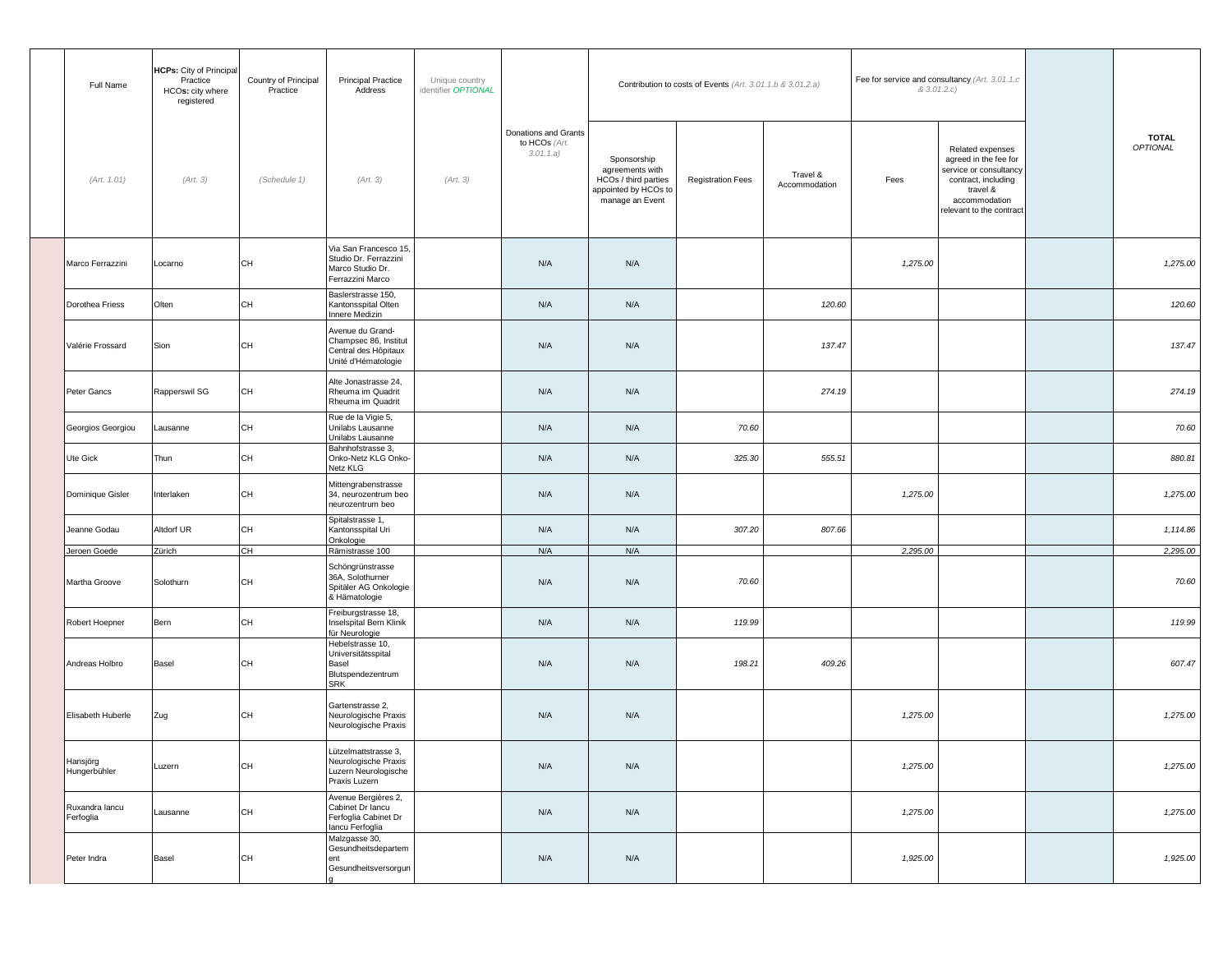| Full Name                   | HCPs: City of Principal<br>Practice<br>HCOs: city where<br>registered | Country of Principal<br>Practice | <b>Principal Practice</b><br>Address                                                     | Unique country<br>identifier OPTIONAL |                                                    |                                                                                                   | Contribution to costs of Events (Art. 3.01.1.b & 3.01.2.a) |                           |          | Fee for service and consultancy (Art. 3.01.1.c<br>& 3.01.2.c)                                                                                      |                          |
|-----------------------------|-----------------------------------------------------------------------|----------------------------------|------------------------------------------------------------------------------------------|---------------------------------------|----------------------------------------------------|---------------------------------------------------------------------------------------------------|------------------------------------------------------------|---------------------------|----------|----------------------------------------------------------------------------------------------------------------------------------------------------|--------------------------|
| (Art. 1.01)                 | (Art. 3)                                                              | (Schedule 1)                     | (Art. 3)                                                                                 | (Art. 3)                              | Donations and Grants<br>to HCOs (Art.<br>3.01.1.a) | Sponsorship<br>agreements with<br>HCOs / third parties<br>appointed by HCOs to<br>manage an Event | <b>Registration Fees</b>                                   | Travel &<br>Accommodation | Fees     | Related expenses<br>agreed in the fee for<br>service or consultancy<br>contract, including<br>travel &<br>accommodation<br>elevant to the contract | <b>TOTAL</b><br>OPTIONAL |
| Marco Ferrazzini            | Locarno                                                               | <b>CH</b>                        | Via San Francesco 15,<br>Studio Dr. Ferrazzini<br>Marco Studio Dr.<br>Ferrazzini Marco   |                                       | N/A                                                | N/A                                                                                               |                                                            |                           | 1,275.00 |                                                                                                                                                    | 1,275.00                 |
| Dorothea Friess             | Olten                                                                 | <b>CH</b>                        | Baslerstrasse 150,<br>Kantonsspital Olten<br>Innere Medizin                              |                                       | N/A                                                | N/A                                                                                               |                                                            | 120.60                    |          |                                                                                                                                                    | 120.60                   |
| Valérie Frossard            | Sion                                                                  | CH                               | Avenue du Grand-<br>Champsec 86, Institut<br>Central des Hôpitaux<br>Unité d'Hématologie |                                       | N/A                                                | N/A                                                                                               |                                                            | 137.47                    |          |                                                                                                                                                    | 137.47                   |
| Peter Gancs                 | Rapperswil SG                                                         | <b>CH</b>                        | Alte Jonastrasse 24,<br>Rheuma im Quadrit<br>Rheuma im Quadrit                           |                                       | N/A                                                | N/A                                                                                               |                                                            | 274.19                    |          |                                                                                                                                                    | 274.19                   |
| Georgios Georgiou           | Lausanne                                                              | CH                               | Rue de la Vigie 5,<br>Unilabs Lausanne<br>Unilabs Lausanne                               |                                       | N/A                                                | N/A                                                                                               | 70.60                                                      |                           |          |                                                                                                                                                    | 70.60                    |
| Ute Gick                    | Thun                                                                  | CH                               | Bahnhofstrasse 3,<br>Onko-Netz KLG Onko-<br>Netz KLG                                     |                                       | N/A                                                | N/A                                                                                               | 325.30                                                     | 555.51                    |          |                                                                                                                                                    | 880.81                   |
| Dominique Gisler            | Interlaken                                                            | <b>CH</b>                        | Mittengrabenstrasse<br>34, neurozentrum beo<br>neurozentrum beo                          |                                       | N/A                                                | N/A                                                                                               |                                                            |                           | 1,275.00 |                                                                                                                                                    | 1,275.00                 |
| Jeanne Godau                | Altdorf UR                                                            | <b>CH</b>                        | Spitalstrasse 1,<br>Kantonsspital Uri<br>Onkologie                                       |                                       | N/A                                                | N/A                                                                                               | 307.20                                                     | 807.66                    |          |                                                                                                                                                    | 1,114.86                 |
| Jeroen Goede                | Zürich                                                                | CH                               | Rämistrasse 100                                                                          |                                       | N/A                                                | N/A                                                                                               |                                                            |                           | 2,295.00 |                                                                                                                                                    | 2,295.00                 |
| Martha Groove               | Solothurn                                                             | CH                               | Schöngrünstrasse<br>36A, Solothurner<br>Spitäler AG Onkologie<br>& Hämatologie           |                                       | N/A                                                | N/A                                                                                               | 70.60                                                      |                           |          |                                                                                                                                                    | 70.60                    |
| Robert Hoepner              | Bern                                                                  | CH                               | Freiburgstrasse 18,<br>Inselspital Bern Klinik<br>für Neurologie                         |                                       | N/A                                                | N/A                                                                                               | 119.99                                                     |                           |          |                                                                                                                                                    | 119.99                   |
| Andreas Holbro              | Basel                                                                 | CH                               | Hebelstrasse 10,<br>Universitätsspital<br>Basel<br>Blutspendezentrum<br><b>SRK</b>       |                                       | N/A                                                | N/A                                                                                               | 198.21                                                     | 409.26                    |          |                                                                                                                                                    | 607.47                   |
| Elisabeth Huberle           | Zug                                                                   | CH                               | Gartenstrasse 2,<br>Neurologische Praxis<br>Neurologische Praxis                         |                                       | N/A                                                | N/A                                                                                               |                                                            |                           | 1,275.00 |                                                                                                                                                    | 1,275.00                 |
| Hansjörg<br>Hungerbühler    | Luzern                                                                | CH                               | Lützelmattstrasse 3,<br>Neurologische Praxis<br>Luzern Neurologische<br>Praxis Luzern    |                                       | N/A                                                | N/A                                                                                               |                                                            |                           | 1,275.00 |                                                                                                                                                    | 1,275.00                 |
| Ruxandra lancu<br>Ferfoglia | Lausanne                                                              | <b>CH</b>                        | Avenue Bergières 2,<br>Cabinet Dr Iancu<br>Ferfoglia Cabinet Dr<br>Iancu Ferfoglia       |                                       | N/A                                                | N/A                                                                                               |                                                            |                           | 1,275.00 |                                                                                                                                                    | 1,275.00                 |
| Peter Indra                 | Basel                                                                 | CH                               | Malzgasse 30,<br>Gesundheitsdepartem<br>ent<br>Gesundheitsversorgun                      |                                       | N/A                                                | N/A                                                                                               |                                                            |                           | 1,925.00 |                                                                                                                                                    | 1,925.00                 |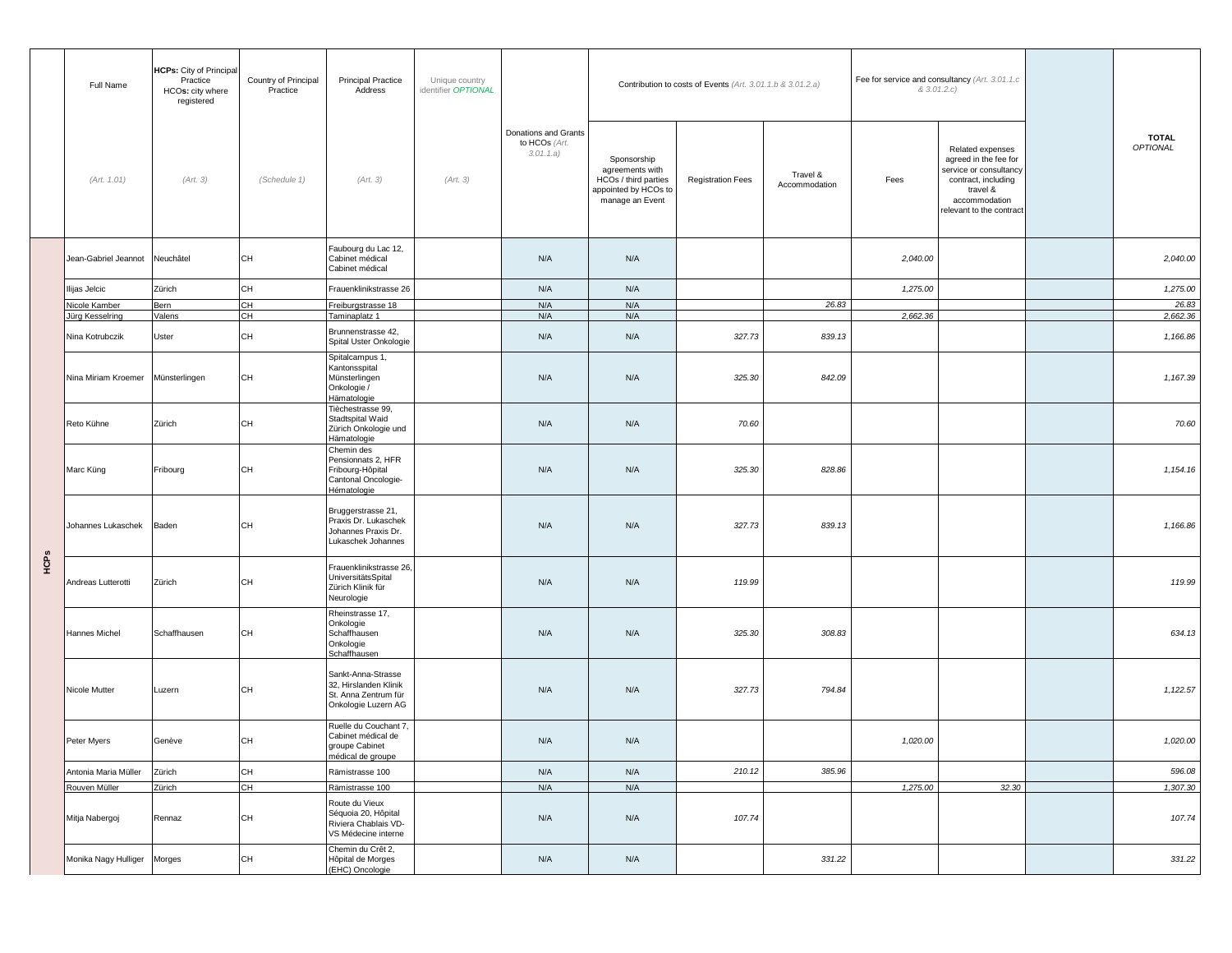|      | Full Name            | <b>HCPs:</b> City of Principal<br>Practice<br>HCOs: city where<br>registered | Country of Principal<br>Practice | <b>Principal Practice</b><br>Unique country<br>Address<br>identifier OPTIONAL              |          |                                                    |                                                                                                   | Contribution to costs of Events (Art. 3.01.1.b & 3.01.2.a) |                           | Fee for service and consultancy (Art. 3.01.1.c)<br>& 3.01.2.c) |                                                                                                                                                     |                          |
|------|----------------------|------------------------------------------------------------------------------|----------------------------------|--------------------------------------------------------------------------------------------|----------|----------------------------------------------------|---------------------------------------------------------------------------------------------------|------------------------------------------------------------|---------------------------|----------------------------------------------------------------|-----------------------------------------------------------------------------------------------------------------------------------------------------|--------------------------|
|      | (Art. 1.01)          | (Art. 3)                                                                     | (Schedule 1)                     | (Art. 3)                                                                                   | (Art. 3) | Donations and Grants<br>to HCOs (Art.<br>3.01.1.a) | Sponsorship<br>agreements with<br>HCOs / third parties<br>appointed by HCOs to<br>manage an Event | <b>Registration Fees</b>                                   | Travel &<br>Accommodation | Fees                                                           | Related expenses<br>agreed in the fee for<br>service or consultancy<br>contract, including<br>travel &<br>accommodation<br>relevant to the contract | <b>TOTAL</b><br>OPTIONAL |
|      | Jean-Gabriel Jeannot | Neuchâtel                                                                    | CH                               | Faubourg du Lac 12,<br>Cabinet médical<br>Cabinet médical                                  |          | N/A                                                | N/A                                                                                               |                                                            |                           | 2,040.00                                                       |                                                                                                                                                     | 2,040.00                 |
|      | Ilijas Jelcic        | Zürich                                                                       | CH                               | Frauenklinikstrasse 26                                                                     |          | N/A                                                | N/A                                                                                               |                                                            |                           | 1,275.00                                                       |                                                                                                                                                     | 1,275.00                 |
|      | Nicole Kamber        | Bern                                                                         | CH                               | Freiburgstrasse 18                                                                         |          | N/A                                                | N/A                                                                                               |                                                            | 26.83                     |                                                                |                                                                                                                                                     | 26.83                    |
|      | ürg Kesselring       | Valens                                                                       | CH                               | Taminaplatz 1                                                                              |          | N/A                                                | N/A                                                                                               |                                                            |                           | 2,662.36                                                       |                                                                                                                                                     | 2,662.36                 |
|      | Nina Kotrubczik      | Uster                                                                        | CH                               | Brunnenstrasse 42,<br>Spital Uster Onkologie                                               |          | N/A                                                | N/A                                                                                               | 327.73                                                     | 839.13                    |                                                                |                                                                                                                                                     | 1,166.86                 |
|      | Nina Miriam Kroemer  | Münsterlingen                                                                | CH                               | Spitalcampus 1,<br>Kantonsspital<br>Münsterlingen<br>Onkologie /<br>Hämatologie            |          | N/A                                                | N/A                                                                                               | 325.30                                                     | 842.09                    |                                                                |                                                                                                                                                     | 1,167.39                 |
|      | Reto Kühne           | Zürich                                                                       | CH                               | Tièchestrasse 99,<br>Stadtspital Waid<br>Zürich Onkologie und<br>Hämatologie               |          | N/A                                                | N/A                                                                                               | 70.60                                                      |                           |                                                                |                                                                                                                                                     | 70.60                    |
|      | Marc Küng            | Fribourg                                                                     | CH                               | Chemin des<br>Pensionnats 2, HFR<br>Fribourg-Hôpital<br>Cantonal Oncologie-<br>Hématologie |          | N/A                                                | N/A                                                                                               | 325.30                                                     | 828.86                    |                                                                |                                                                                                                                                     | 1,154.16                 |
|      | Johannes Lukaschek   | Baden                                                                        | CH                               | Bruggerstrasse 21,<br>Praxis Dr. Lukaschek<br>Johannes Praxis Dr.<br>Lukaschek Johannes    |          | N/A                                                | N/A                                                                                               | 327.73                                                     | 839.13                    |                                                                |                                                                                                                                                     | 1,166.86                 |
| HCPS | Andreas Lutterotti   | Zürich                                                                       | CH                               | Frauenklinikstrasse 26,<br>UniversitätsSpital<br>Zürich Klinik für<br>Neurologie           |          | N/A                                                | N/A                                                                                               | 119.99                                                     |                           |                                                                |                                                                                                                                                     | 119.99                   |
|      | Hannes Michel        | Schaffhausen                                                                 | CH                               | Rheinstrasse 17,<br>Onkologie<br>Schaffhausen<br>Onkologie<br>Schaffhausen                 |          | N/A                                                | N/A                                                                                               | 325.30                                                     | 308.83                    |                                                                |                                                                                                                                                     | 634.13                   |
|      | Nicole Mutter        | Luzern                                                                       | CH                               | Sankt-Anna-Strasse<br>32, Hirslanden Klinik<br>St. Anna Zentrum für<br>Onkologie Luzern AG |          | N/A                                                | N/A                                                                                               | 327.73                                                     | 794.84                    |                                                                |                                                                                                                                                     | 1,122.57                 |
|      | Peter Myers          | Genève                                                                       | CH                               | Ruelle du Couchant 7,<br>Cabinet médical de<br>roupe Cabinet<br>médical de groupe          |          | N/A                                                | N/A                                                                                               |                                                            |                           | 1,020.00                                                       |                                                                                                                                                     | 1,020.00                 |
|      | Antonia Maria Müller | Zürich                                                                       | CH                               | Rämistrasse 100                                                                            |          | N/A                                                | N/A                                                                                               | 210.12                                                     | 385.96                    |                                                                |                                                                                                                                                     | 596.08                   |
|      | Rouven Müller        | Zürich                                                                       | CH                               | Rämistrasse 100                                                                            |          | N/A                                                | N/A                                                                                               |                                                            |                           | 1,275.00                                                       | 32.30                                                                                                                                               | 1,307.30                 |
|      | Mitja Nabergoj       | Rennaz                                                                       | CH                               | Route du Vieux<br>Séquoia 20, Hôpital<br>Riviera Chablais VD-<br>VS Médecine interne       |          | N/A                                                | N/A                                                                                               | 107.74                                                     |                           |                                                                |                                                                                                                                                     | 107.74                   |
|      | Monika Nagy Hulliger | Morges                                                                       | CH                               | Chemin du Crêt 2,<br>Hôpital de Morges<br>(EHC) Oncologie                                  |          | N/A                                                | N/A                                                                                               |                                                            | 331.22                    |                                                                |                                                                                                                                                     | 331.22                   |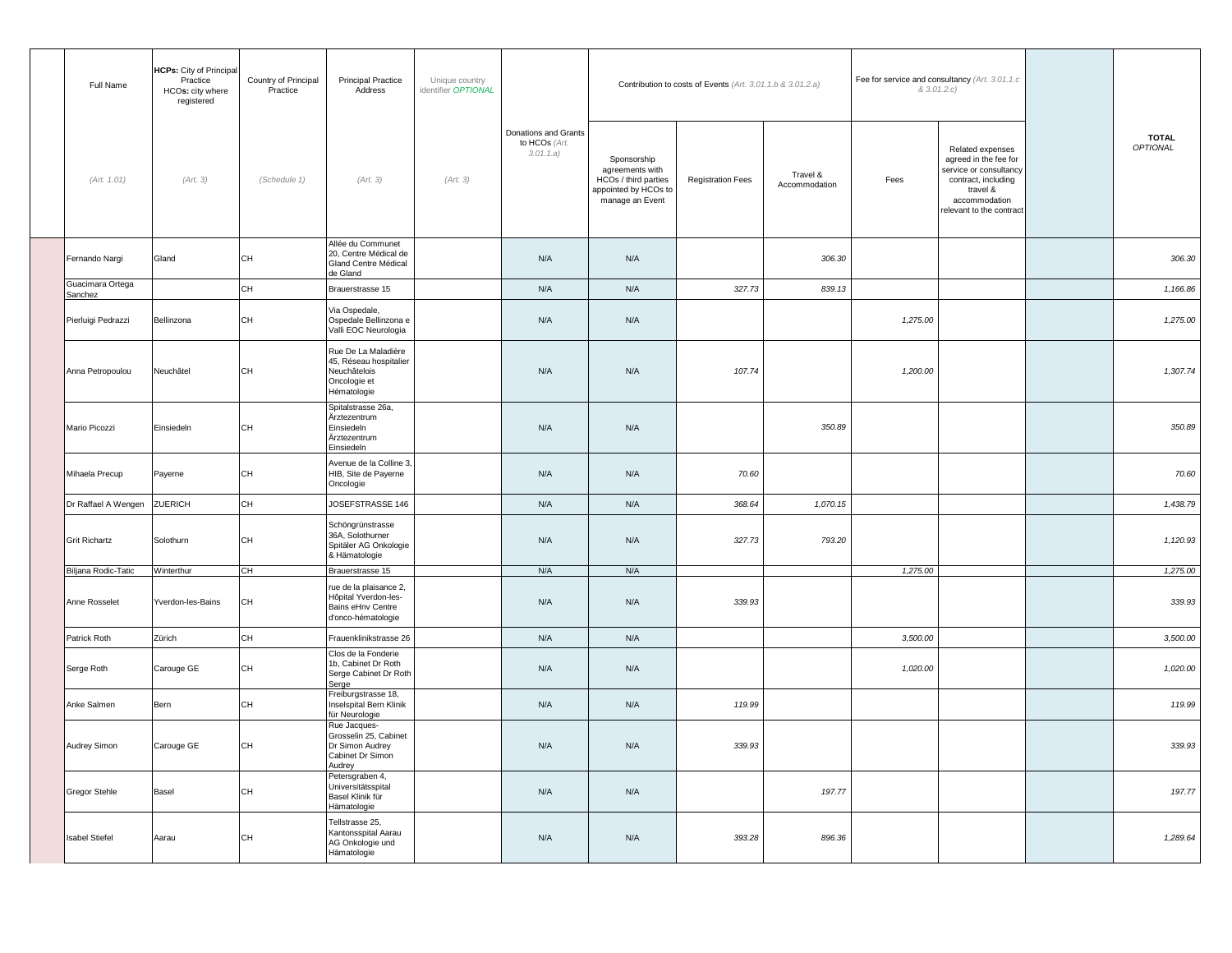| Full Name                   | <b>HCPs:</b> City of Principal<br>Practice<br>HCOs: city where<br>registered | Country of Principal<br>Practice | Principal Practice<br>Address                                                                | Unique country<br>identifier OPTIONAL |                                                    |                                                                                                   | Contribution to costs of Events (Art. 3.01.1.b & 3.01.2.a) |                           |          | Fee for service and consultancy (Art. 3.01.1.c<br>& 3.01.2.c)                                                                                      |                                 |
|-----------------------------|------------------------------------------------------------------------------|----------------------------------|----------------------------------------------------------------------------------------------|---------------------------------------|----------------------------------------------------|---------------------------------------------------------------------------------------------------|------------------------------------------------------------|---------------------------|----------|----------------------------------------------------------------------------------------------------------------------------------------------------|---------------------------------|
| (Art. 1.01)                 | (Art. 3)                                                                     | (Schedule 1)                     | (Art. 3)                                                                                     | (Art. 3)                              | Donations and Grants<br>to HCOs (Art.<br>3.01.1.a) | Sponsorship<br>agreements with<br>HCOs / third parties<br>appointed by HCOs to<br>manage an Event | <b>Registration Fees</b>                                   | Travel &<br>Accommodation | Fees     | Related expenses<br>agreed in the fee for<br>service or consultancy<br>contract, including<br>travel &<br>accommodation<br>elevant to the contract | <b>TOTAL</b><br><b>OPTIONAL</b> |
| Fernando Nargi              | Gland                                                                        | <b>CH</b>                        | Allée du Communet<br>20, Centre Médical de<br>Gland Centre Médical<br>de Gland               |                                       | N/A                                                | N/A                                                                                               |                                                            | 306.30                    |          |                                                                                                                                                    | 306.30                          |
| Guacimara Ortega<br>Sanchez |                                                                              | CH                               | Brauerstrasse 15                                                                             |                                       | N/A                                                | N/A                                                                                               | 327.73                                                     | 839.13                    |          |                                                                                                                                                    | 1,166.86                        |
| Pierluigi Pedrazzi          | Bellinzona                                                                   | <b>CH</b>                        | Via Ospedale,<br>Ospedale Bellinzona e<br>Valli EOC Neurologia                               |                                       | N/A                                                | N/A                                                                                               |                                                            |                           | 1,275.00 |                                                                                                                                                    | 1,275.00                        |
| Anna Petropoulou            | Neuchâtel                                                                    | <b>CH</b>                        | Rue De La Maladière<br>45, Réseau hospitalier<br>Neuchâtelois<br>Oncologie et<br>Hématologie |                                       | N/A                                                | N/A                                                                                               | 107.74                                                     |                           | 1,200.00 |                                                                                                                                                    | 1,307.74                        |
| Mario Picozzi               | Einsiedeln                                                                   | <b>CH</b>                        | Spitalstrasse 26a,<br>Ärztezentrum<br>Einsiedeln<br>Ärztezentrum<br>Einsiedeln               |                                       | N/A                                                | N/A                                                                                               |                                                            | 350.89                    |          |                                                                                                                                                    | 350.89                          |
| Mihaela Precup              | Payerne                                                                      | <b>CH</b>                        | Avenue de la Colline 3<br>HIB, Site de Payerne<br>Oncologie                                  |                                       | N/A                                                | N/A                                                                                               | 70.60                                                      |                           |          |                                                                                                                                                    | 70.60                           |
| Dr Raffael A Wengen         | ZUERICH                                                                      | CH                               | JOSEFSTRASSE 146                                                                             |                                       | N/A                                                | N/A                                                                                               | 368.64                                                     | 1,070.15                  |          |                                                                                                                                                    | 1,438.79                        |
| <b>Grit Richartz</b>        | Solothurn                                                                    | CH                               | Schöngrünstrasse<br>36A, Solothurner<br>Spitäler AG Onkologie<br>& Hämatologie               |                                       | N/A                                                | N/A                                                                                               | 327.73                                                     | 793.20                    |          |                                                                                                                                                    | 1,120.93                        |
| Biljana Rodic-Tatic         | Winterthur                                                                   | СH                               | Brauerstrasse 15                                                                             |                                       | N/A                                                | N/A                                                                                               |                                                            |                           | 1,275.00 |                                                                                                                                                    | 1,275.00                        |
| Anne Rosselet               | Yverdon-les-Bains                                                            | <b>CH</b>                        | rue de la plaisance 2,<br>Hôpital Yverdon-les-<br>Bains eHnv Centre<br>d'onco-hématologie    |                                       | N/A                                                | N/A                                                                                               | 339.93                                                     |                           |          |                                                                                                                                                    | 339.93                          |
| Patrick Roth                | Zürich                                                                       | <b>CH</b>                        | Frauenklinikstrasse 26                                                                       |                                       | N/A                                                | N/A                                                                                               |                                                            |                           | 3,500.00 |                                                                                                                                                    | 3,500.00                        |
| Serge Roth                  | Carouge GE                                                                   | <b>CH</b>                        | Clos de la Fonderie<br>1b, Cabinet Dr Roth<br>Serge Cabinet Dr Roth<br>Serge                 |                                       | N/A                                                | N/A                                                                                               |                                                            |                           | 1,020.00 |                                                                                                                                                    | 1,020.00                        |
| Anke Salmen                 | Bern                                                                         | CH                               | Freiburgstrasse 18,<br>Inselspital Bern Klinik<br>ür Neurologie                              |                                       | N/A                                                | N/A                                                                                               | 119.99                                                     |                           |          |                                                                                                                                                    | 119.99                          |
| Audrey Simon                | Carouge GE                                                                   | CH                               | Rue Jacques-<br>Grosselin 25, Cabinet<br>Dr Simon Audrey<br>Cabinet Dr Simon<br>Audrey       |                                       | N/A                                                | N/A                                                                                               | 339.93                                                     |                           |          |                                                                                                                                                    | 339.93                          |
| Gregor Stehle               | Basel                                                                        | CH                               | Petersgraben 4,<br>Universitätsspital<br>Basel Klinik für<br>Hämatologie                     |                                       | N/A                                                | N/A                                                                                               |                                                            | 197.77                    |          |                                                                                                                                                    | 197.77                          |
| <b>Isabel Stiefel</b>       | Aarau                                                                        | CH                               | Tellstrasse 25,<br>Kantonsspital Aarau<br>AG Onkologie und<br>Hämatologie                    |                                       | N/A                                                | N/A                                                                                               | 393.28                                                     | 896.36                    |          |                                                                                                                                                    | 1,289.64                        |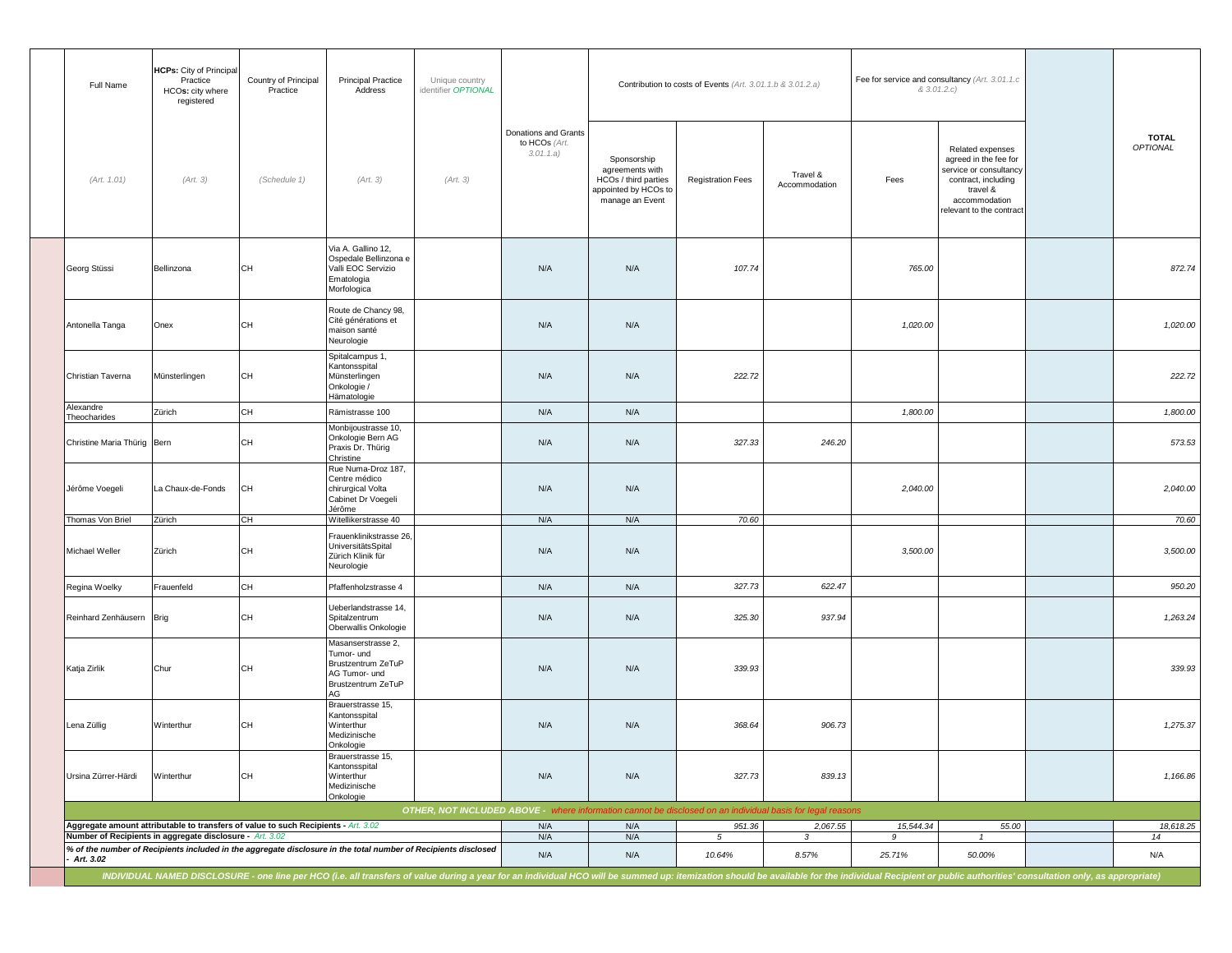| Full Name                   | <b>HCPs:</b> City of Principal<br>Practice<br>HCOs: city where<br>registered                                                                   | Country of Principal<br>Practice | Principal Practice<br>Address                                                                                                                                                                                                  | Unique country<br>identifier OPTIONAL |                                                    |                                                                                                            | Contribution to costs of Events (Art. 3.01.1.b & 3.01.2.a) |                           |                | Fee for service and consultancy (Art. 3.01.1.c<br>& 3.01.2.c)                                                                                      |                                 |
|-----------------------------|------------------------------------------------------------------------------------------------------------------------------------------------|----------------------------------|--------------------------------------------------------------------------------------------------------------------------------------------------------------------------------------------------------------------------------|---------------------------------------|----------------------------------------------------|------------------------------------------------------------------------------------------------------------|------------------------------------------------------------|---------------------------|----------------|----------------------------------------------------------------------------------------------------------------------------------------------------|---------------------------------|
| (Art. 1.01)                 | (Art. 3)                                                                                                                                       | (Schedule 1)                     | (Art. 3)                                                                                                                                                                                                                       | (Art. 3)                              | Donations and Grants<br>to HCOs (Art.<br>3.01.1.a) | Sponsorship<br>agreements with<br>HCOs / third parties<br>appointed by HCOs to<br>manage an Event          | <b>Registration Fees</b>                                   | Travel &<br>Accommodation | Fees           | Related expenses<br>agreed in the fee for<br>service or consultancy<br>contract, including<br>travel &<br>accommodation<br>elevant to the contract | <b>TOTAL</b><br><b>OPTIONAL</b> |
| Georg Stüssi                | Bellinzona                                                                                                                                     | <b>CH</b>                        | Via A. Gallino 12,<br>Ospedale Bellinzona e<br>Valli EOC Servizio<br>Ematologia<br>Morfologica                                                                                                                                 |                                       | N/A                                                | N/A                                                                                                        | 107.74                                                     |                           | 765.00         |                                                                                                                                                    | 872.74                          |
| Antonella Tanga             | Onex                                                                                                                                           | CH                               | Route de Chancy 98,<br>Cité générations et<br>maison santé<br>Neurologie                                                                                                                                                       |                                       | N/A                                                | N/A                                                                                                        |                                                            |                           | 1,020.00       |                                                                                                                                                    | 1,020.00                        |
| Christian Taverna           | Münsterlingen                                                                                                                                  | <b>CH</b>                        | Spitalcampus 1,<br>Kantonsspital<br>Münsterlingen<br>Onkologie /<br>Hämatologie                                                                                                                                                |                                       | N/A                                                | N/A                                                                                                        | 222.72                                                     |                           |                |                                                                                                                                                    | 222.72                          |
| Alexandre<br>Theocharides   | Zürich                                                                                                                                         | CH                               | Rämistrasse 100                                                                                                                                                                                                                |                                       | N/A                                                | N/A                                                                                                        |                                                            |                           | 1,800.00       |                                                                                                                                                    | 1,800.00                        |
| Christine Maria Thürig Bern |                                                                                                                                                | <b>CH</b>                        | Monbijoustrasse 10,<br>Onkologie Bern AG<br>Praxis Dr. Thürig<br>Christine                                                                                                                                                     |                                       | N/A                                                | N/A                                                                                                        | 327.33                                                     | 246.20                    |                |                                                                                                                                                    | 573.53                          |
| Jérôme Voegeli              | La Chaux-de-Fonds                                                                                                                              | <b>CH</b>                        | Rue Numa-Droz 187,<br>Centre médico<br>chirurgical Volta<br>Cabinet Dr Voegeli<br>Jérôme                                                                                                                                       |                                       | N/A                                                | N/A                                                                                                        |                                                            |                           | 2,040.00       |                                                                                                                                                    | 2,040.00                        |
| Thomas Von Briel            | Zürich                                                                                                                                         | CH                               | Witellikerstrasse 40                                                                                                                                                                                                           |                                       | N/A                                                | N/A                                                                                                        | 70.60                                                      |                           |                |                                                                                                                                                    | 70.60                           |
| Michael Weller              | Zürich                                                                                                                                         | <b>CH</b>                        | Frauenklinikstrasse 26,<br><b>UniversitätsSpital</b><br>Zürich Klinik für<br>Neurologie                                                                                                                                        |                                       | N/A                                                | N/A                                                                                                        |                                                            |                           | 3,500.00       |                                                                                                                                                    | 3,500.00                        |
| Regina Woelky               | Frauenfeld                                                                                                                                     | CH                               | Pfaffenholzstrasse 4                                                                                                                                                                                                           |                                       | N/A                                                | N/A                                                                                                        | 327.73                                                     | 622.47                    |                |                                                                                                                                                    | 950.20                          |
| Reinhard Zenhäusern         | Brig                                                                                                                                           | <b>CH</b>                        | Ueberlandstrasse 14,<br>Spitalzentrum<br>Oberwallis Onkologie                                                                                                                                                                  |                                       | N/A                                                | N/A                                                                                                        | 325.30                                                     | 937.94                    |                |                                                                                                                                                    | 1,263.24                        |
| Katja Zirlik                | Chur                                                                                                                                           | <b>CH</b>                        | Masanserstrasse 2,<br>Tumor- und<br>Brustzentrum ZeTuP<br>AG Tumor- und<br>Brustzentrum ZeTuP<br>AG                                                                                                                            |                                       | N/A                                                | N/A                                                                                                        | 339.93                                                     |                           |                |                                                                                                                                                    | 339.93                          |
| Lena Züllig                 | Winterthur                                                                                                                                     | <b>CH</b>                        | Brauerstrasse 15,<br>Kantonsspital<br>Winterthur<br>Medizinische<br>Onkologie                                                                                                                                                  |                                       | N/A                                                | N/A                                                                                                        | 368.64                                                     | 906.73                    |                |                                                                                                                                                    | 1,275.37                        |
| Ursina Zürrer-Härdi         | Winterthur                                                                                                                                     | CH                               | Brauerstrasse 15,<br>Kantonsspital<br>Winterthur<br>Medizinische<br>Onkologie                                                                                                                                                  |                                       | N/A                                                | N/A                                                                                                        | 327.73                                                     | 839.13                    |                |                                                                                                                                                    | 1,166.86                        |
|                             |                                                                                                                                                |                                  |                                                                                                                                                                                                                                |                                       | N/A                                                | OTHER, NOT INCLUDED ABOVE - where information cannot be disclosed on an individual basis for legal reasons |                                                            |                           |                |                                                                                                                                                    |                                 |
|                             | Aggregate amount attributable to transfers of value to such Recipients - Art. 3.02<br>Number of Recipients in aggregate disclosure - Art. 3.02 |                                  |                                                                                                                                                                                                                                |                                       |                                                    | N/A<br>N/A                                                                                                 | 951.36<br>$5^{\circ}$                                      | 2,067.55<br>$\mathcal{S}$ | 15,544.34<br>9 | 55.00<br>$\mathbf{1}$                                                                                                                              | 18,618.25<br>14                 |
| Art. 3.02                   |                                                                                                                                                |                                  | % of the number of Recipients included in the aggregate disclosure in the total number of Recipients disclosed                                                                                                                 |                                       | N/A<br>N/A                                         | N/A                                                                                                        | 10.64%                                                     | 8.57%                     | 25.71%         | 50.00%                                                                                                                                             | N/A                             |
|                             |                                                                                                                                                |                                  | INDIVIDUAL NAMED DISCLOSURE - one line per HCO (i.e. all transfers of value during a year for an individual HCO will be summed up: itemization should be available for the individual Recipient or public authorities' consult |                                       |                                                    |                                                                                                            |                                                            |                           |                |                                                                                                                                                    |                                 |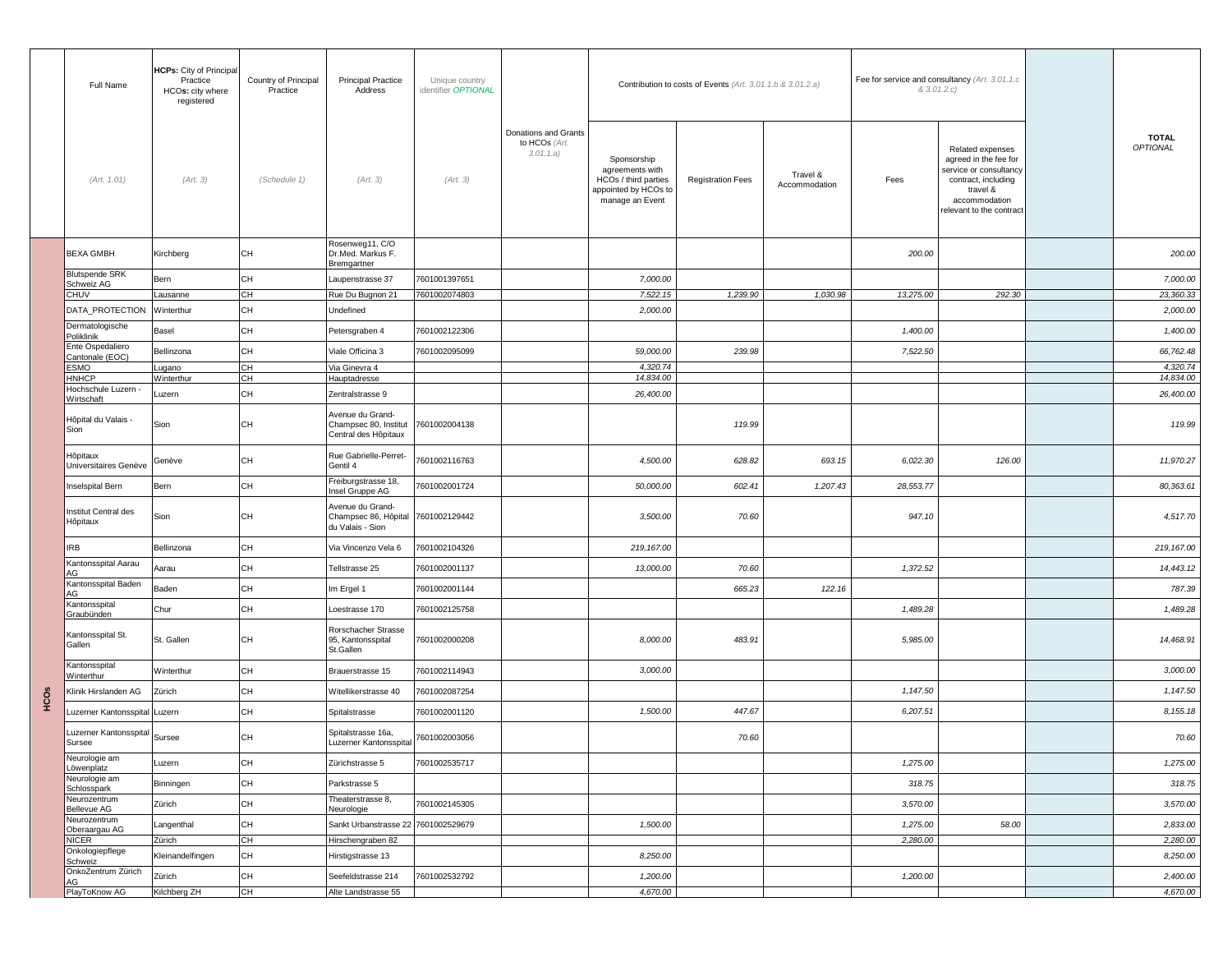|      | Full Name                                 | <b>HCPs:</b> City of Principal<br>Practice<br>HCOs: city where<br>registered | Country of Principal<br>Practice | <b>Principal Practice</b><br>Address                                            | Unique country<br>identifier OPTIONAL |                                                    |                                                                                                   | Contribution to costs of Events (Art. 3.01.1.b & 3.01.2.a) |                           |           | Fee for service and consultancy (Art. 3.01.1.c<br>& 3.01.2.c)                                                                                       |                                 |
|------|-------------------------------------------|------------------------------------------------------------------------------|----------------------------------|---------------------------------------------------------------------------------|---------------------------------------|----------------------------------------------------|---------------------------------------------------------------------------------------------------|------------------------------------------------------------|---------------------------|-----------|-----------------------------------------------------------------------------------------------------------------------------------------------------|---------------------------------|
|      | (Art. 1.01)                               | (Art. 3)                                                                     | (Schedule 1)                     | (Art. 3)                                                                        | (Art. 3)                              | Donations and Grants<br>to HCOs (Art.<br>3.01.1.a) | Sponsorship<br>agreements with<br>HCOs / third parties<br>appointed by HCOs to<br>manage an Event | <b>Registration Fees</b>                                   | Travel &<br>Accommodation | Fees      | Related expenses<br>agreed in the fee for<br>service or consultancy<br>contract, including<br>travel &<br>accommodation<br>relevant to the contract | <b>TOTAL</b><br><b>OPTIONAL</b> |
|      | <b>BEXA GMBH</b>                          | Kirchberg                                                                    | CН                               | Rosenweg11, C/O<br>Dr.Med. Markus F.<br>Bremgartner                             |                                       |                                                    |                                                                                                   |                                                            |                           | 200.00    |                                                                                                                                                     | 200.00                          |
|      | <b>Blutspende SRK</b><br>Schweiz AG       | Bern                                                                         | СH                               | aupenstrasse 37                                                                 | 7601001397651                         |                                                    | 7,000.00                                                                                          |                                                            |                           |           |                                                                                                                                                     | 7,000.00                        |
|      | <b>CHUV</b>                               | Lausanne                                                                     | CН                               | Rue Du Bugnon 21                                                                | 7601002074803                         |                                                    | 7,522.15                                                                                          | 1,239.90                                                   | 1,030.98                  | 13,275.00 | 292.30                                                                                                                                              | 23,360.33                       |
|      | DATA_PROTECTION                           | Winterthur                                                                   | CН                               | Undefined                                                                       |                                       |                                                    | 2,000.00                                                                                          |                                                            |                           |           |                                                                                                                                                     | 2,000.00                        |
|      | Dermatologische<br>Poliklinik             | Basel                                                                        | CH                               | Petersgraben 4                                                                  | 7601002122306                         |                                                    |                                                                                                   |                                                            |                           | 1,400.00  |                                                                                                                                                     | 1,400.00                        |
|      | Ente Ospedaliero                          | Bellinzona                                                                   | CH                               | Viale Officina 3                                                                | 7601002095099                         |                                                    | 59,000.00                                                                                         | 239.98                                                     |                           | 7,522.50  |                                                                                                                                                     | 66,762.48                       |
|      | Cantonale (EOC)<br>ESMO                   | Lugano                                                                       | CН                               | Via Ginevra 4                                                                   |                                       |                                                    | 4,320.74                                                                                          |                                                            |                           |           |                                                                                                                                                     | 4,320.74                        |
|      | <b>HNHCP</b>                              | Winterthur                                                                   | CН                               | <b>Hauptadresse</b>                                                             |                                       |                                                    | 14,834.00                                                                                         |                                                            |                           |           |                                                                                                                                                     | 14,834.00                       |
|      | Hochschule Luzern -<br>Wirtschaft         | Luzern                                                                       | CH                               | Zentralstrasse 9                                                                |                                       |                                                    | 26,400.00                                                                                         |                                                            |                           |           |                                                                                                                                                     | 26,400.00                       |
|      | Hôpital du Valais -<br>Sion               | Sion                                                                         | CH                               | Avenue du Grand-<br>Champsec 80, Institut 7601002004138<br>Central des Hôpitaux |                                       |                                                    |                                                                                                   | 119.99                                                     |                           |           |                                                                                                                                                     | 119.99                          |
|      | Hôpitaux<br>Universitaires Genève         | Genève                                                                       | CН                               | Rue Gabrielle-Perret-<br>Gentil 4                                               | 7601002116763                         |                                                    | 4,500.00                                                                                          | 628.82                                                     | 693.15                    | 6.022.30  | 126.00                                                                                                                                              | 11,970.27                       |
|      | <b>Inselspital Bern</b>                   | Bern                                                                         | CH                               | Freiburgstrasse 18,<br>nsel Gruppe AG                                           | 7601002001724                         |                                                    | 50,000.00                                                                                         | 602.41                                                     | 1,207.43                  | 28,553.77 |                                                                                                                                                     | 80,363.61                       |
|      | Institut Central des<br>Hôpitaux          | Sion                                                                         | CH.                              | Avenue du Grand-<br>Champsec 86, Hôpital 7601002129442<br>du Valais - Sion      |                                       |                                                    | 3,500.00                                                                                          | 70.60                                                      |                           | 947.10    |                                                                                                                                                     | 4,517.70                        |
|      | <b>IRB</b>                                | Bellinzona                                                                   | CH                               | Via Vincenzo Vela 6                                                             | 7601002104326                         |                                                    | 219,167.00                                                                                        |                                                            |                           |           |                                                                                                                                                     | 219, 167.00                     |
|      | Kantonsspital Aarau<br>AG                 | Aarau                                                                        | CH                               | Tellstrasse 25                                                                  | 7601002001137                         |                                                    | 13,000.00                                                                                         | 70.60                                                      |                           | 1,372.52  |                                                                                                                                                     | 14,443.12                       |
|      | Kantonsspital Baden                       | Baden                                                                        | CH                               | m Ergel 1                                                                       | 7601002001144                         |                                                    |                                                                                                   | 665.23                                                     | 122.16                    |           |                                                                                                                                                     | 787.39                          |
|      | AG<br>Kantonsspital                       | Chur                                                                         | CH                               | oestrasse 170                                                                   | 7601002125758                         |                                                    |                                                                                                   |                                                            |                           | 1,489.28  |                                                                                                                                                     | 1,489.28                        |
|      | Graubünden<br>Kantonsspital St.<br>Gallen | St. Gallen                                                                   | CН                               | Rorschacher Strasse<br>95, Kantonsspital<br>St.Gallen                           | 7601002000208                         |                                                    | 8,000.00                                                                                          | 483.91                                                     |                           | 5,985.00  |                                                                                                                                                     | 14,468.91                       |
|      | Kantonsspital                             | Winterthur                                                                   | CH                               | Brauerstrasse 15                                                                | 7601002114943                         |                                                    | 3,000.00                                                                                          |                                                            |                           |           |                                                                                                                                                     | 3,000.00                        |
|      | Winterthur<br>Klinik Hirslanden AG        | Zürich                                                                       | CH                               | Witellikerstrasse 40                                                            | 7601002087254                         |                                                    |                                                                                                   |                                                            |                           | 1,147.50  |                                                                                                                                                     | 1,147.50                        |
| HCOS | Luzerner Kantonsspital Luzern             |                                                                              | CH                               | Spitalstrasse                                                                   | 7601002001120                         |                                                    | 1,500.00                                                                                          | 447.67                                                     |                           | 6,207.51  |                                                                                                                                                     | 8,155.18                        |
|      | Luzerner Kantonsspital<br>Sursee          | Sursee                                                                       | CН                               | Spitalstrasse 16a,<br>Luzerner Kantonsspital 7601002003056                      |                                       |                                                    |                                                                                                   | 70.60                                                      |                           |           |                                                                                                                                                     | 70.60                           |
|      | Neurologie am<br>Löwenplatz               | Luzern                                                                       | CН                               | Zürichstrasse 5                                                                 | 7601002535717                         |                                                    |                                                                                                   |                                                            |                           | 1,275.00  |                                                                                                                                                     | 1,275.00                        |
|      | Neurologie am<br>Schlosspark              | Binningen                                                                    | СH                               | Parkstrasse 5                                                                   |                                       |                                                    |                                                                                                   |                                                            |                           | 318.75    |                                                                                                                                                     | 318.75                          |
|      | Neurozentrum                              | Zürich                                                                       | CН                               | Theaterstrasse 8,                                                               | 7601002145305                         |                                                    |                                                                                                   |                                                            |                           | 3,570.00  |                                                                                                                                                     | 3,570.00                        |
|      | <b>Bellevue AG</b><br>Neurozentrum        | Langenthal                                                                   | СH                               | Neurologie<br>Sankt Urbanstrasse 22 7601002529679                               |                                       |                                                    | 1,500.00                                                                                          |                                                            |                           | 1,275.00  | 58.00                                                                                                                                               | 2,833.00                        |
|      | Oberaargau AG<br><b>NICER</b>             | Zürich                                                                       | $\overline{\mathsf{CH}}$         | lirschengraben 82                                                               |                                       |                                                    |                                                                                                   |                                                            |                           | 2,280.00  |                                                                                                                                                     | 2,280.00                        |
|      | Onkologiepflege                           | Kleinandelfingen                                                             | CН                               | Hirstigstrasse 13                                                               |                                       |                                                    | 8,250.00                                                                                          |                                                            |                           |           |                                                                                                                                                     | 8,250.00                        |
|      | Schweiz<br>OnkoZentrum Zürich             |                                                                              |                                  |                                                                                 |                                       |                                                    |                                                                                                   |                                                            |                           |           |                                                                                                                                                     |                                 |
|      | AG                                        | Zürich                                                                       | СH                               | Seefeldstrasse 214                                                              | 7601002532792                         |                                                    | 1,200.00                                                                                          |                                                            |                           | 1,200.00  |                                                                                                                                                     | 2,400.00                        |
|      | PlayToKnow AG                             | Kilchberg ZH                                                                 | CH                               | Alte Landstrasse 55                                                             |                                       |                                                    | 4,670.00                                                                                          |                                                            |                           |           |                                                                                                                                                     | 4,670.00                        |